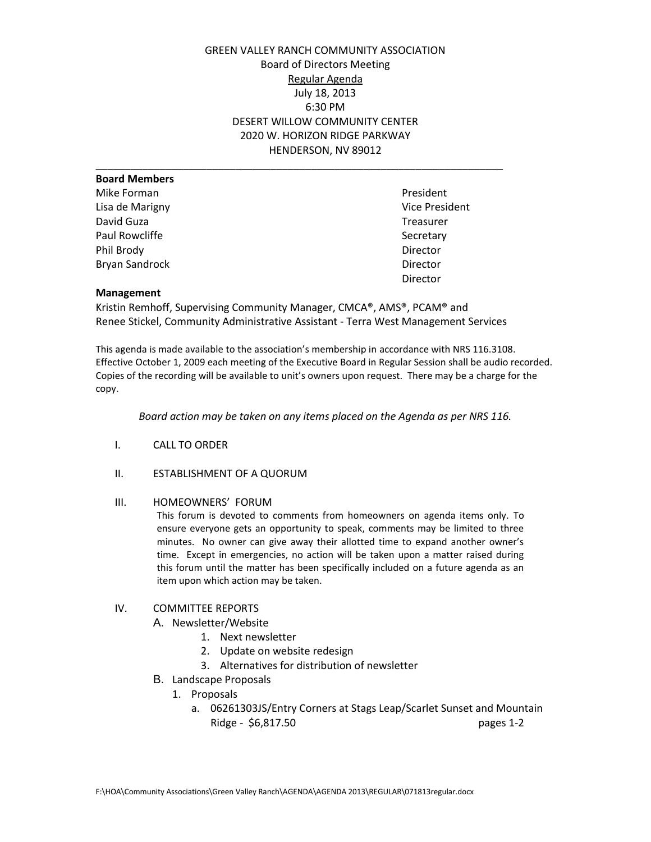GREEN VALLEY RANCH COMMUNITY ASSOCIATION Board of Directors Meeting Regular Agenda July 18, 2013 6:30 PM DESERT WILLOW COMMUNITY CENTER 2020 W. HORIZON RIDGE PARKWAY HENDERSON, NV 89012

| <b>Board Members</b>  |                       |
|-----------------------|-----------------------|
| Mike Forman           | President             |
| Lisa de Marigny       | <b>Vice President</b> |
| David Guza            | Treasurer             |
| Paul Rowcliffe        | Secretary             |
| Phil Brody            | Director              |
| <b>Bryan Sandrock</b> | Director              |
|                       | Director              |

### **Management**

Kristin Remhoff, Supervising Community Manager, CMCA®, AMS®, PCAM® and Renee Stickel, Community Administrative Assistant - Terra West Management Services

This agenda is made available to the association's membership in accordance with NRS 116.3108. Effective October 1, 2009 each meeting of the Executive Board in Regular Session shall be audio recorded. Copies of the recording will be available to unit's owners upon request. There may be a charge for the copy.

*Board action may be taken on any items placed on the Agenda as per NRS 116.* 

- I. CALL TO ORDER
- II. ESTABLISHMENT OF A QUORUM

### III. HOMEOWNERS' FORUM

This forum is devoted to comments from homeowners on agenda items only. To ensure everyone gets an opportunity to speak, comments may be limited to three minutes. No owner can give away their allotted time to expand another owner's time. Except in emergencies, no action will be taken upon a matter raised during this forum until the matter has been specifically included on a future agenda as an item upon which action may be taken.

### IV. COMMITTEE REPORTS

A. Newsletter/Website

- 1. Next newsletter
- 2. Update on website redesign
- 3. Alternatives for distribution of newsletter
- B. Landscape Proposals
	- 1. Proposals
		- a. 06261303JS/Entry Corners at Stags Leap/Scarlet Sunset and Mountain Ridge - \$6,817.50 pages 1-2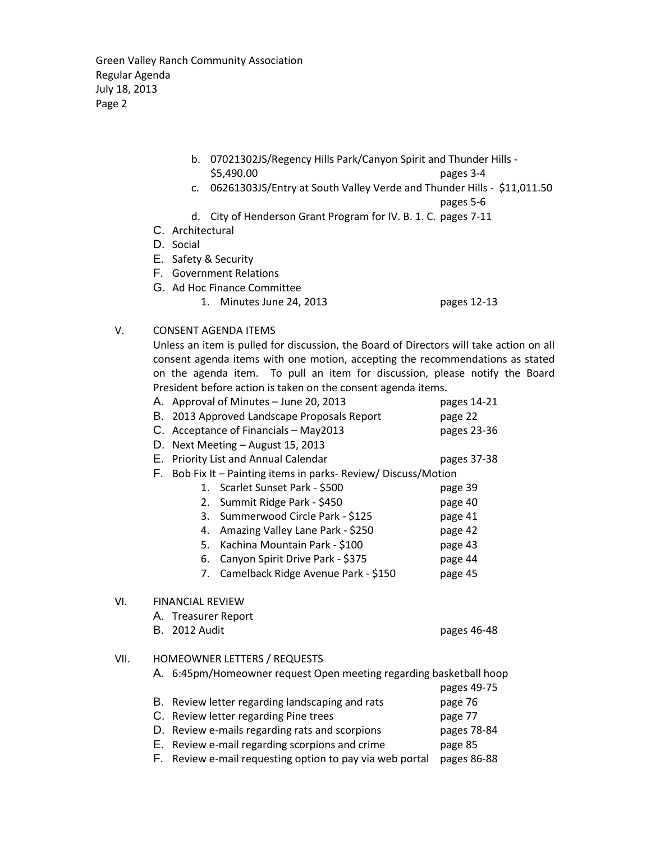Green Valley Ranch Community Association Regular Agenda July 18, 2013 Page 2

- b. 07021302JS/Regency Hills Park/Canyon Spirit and Thunder Hills \$5,490.00 pages 3-4
- c. 06261303JS/Entry at South Valley Verde and Thunder Hills \$11,011.50 pages 5-6
- d. City of Henderson Grant Program for IV. B. 1. C. pages 7-11
- C. Architectural
- D. Social
- E. Safety & Security
- F. Government Relations
- G. Ad Hoc Finance Committee
	- 1. Minutes June 24, 2013 pages 12-13

# V. CONSENT AGENDA ITEMS

Unless an item is pulled for discussion, the Board of Directors will take action on all consent agenda items with one motion, accepting the recommendations as stated on the agenda item. To pull an item for discussion, please notify the Board President before action is taken on the consent agenda items.

|      | A. Approval of Minutes - June 20, 2013                             | pages 14-21 |  |  |
|------|--------------------------------------------------------------------|-------------|--|--|
|      | 2013 Approved Landscape Proposals Report<br>В.                     | page 22     |  |  |
|      | C. Acceptance of Financials - May2013                              | pages 23-36 |  |  |
|      | Next Meeting - August 15, 2013<br>D.                               |             |  |  |
|      | Е.<br>Priority List and Annual Calendar                            | pages 37-38 |  |  |
|      | F.<br>Bob Fix It - Painting items in parks- Review/ Discuss/Motion |             |  |  |
|      | 1. Scarlet Sunset Park - \$500                                     | page 39     |  |  |
|      | Summit Ridge Park - \$450<br>2.                                    | page 40     |  |  |
|      | Summerwood Circle Park - \$125<br>3.                               | page 41     |  |  |
|      | Amazing Valley Lane Park - \$250<br>4.                             | page 42     |  |  |
|      | Kachina Mountain Park - \$100<br>5.                                | page 43     |  |  |
|      | Canyon Spirit Drive Park - \$375<br>6.                             | page 44     |  |  |
|      | Camelback Ridge Avenue Park - \$150<br>7.                          | page 45     |  |  |
| VI.  | <b>FINANCIAL REVIEW</b>                                            |             |  |  |
|      | A. Treasurer Report                                                |             |  |  |
|      | <b>B.</b> 2012 Audit                                               | pages 46-48 |  |  |
| VII. | HOMEOWNER LETTERS / REQUESTS                                       |             |  |  |
|      | A. 6:45pm/Homeowner request Open meeting regarding basketball hoop |             |  |  |
|      |                                                                    | pages 49-75 |  |  |
|      | В.<br>Review letter regarding landscaping and rats                 | page 76     |  |  |
|      | C. Review letter regarding Pine trees                              | page 77     |  |  |
|      | Review e-mails regarding rats and scorpions<br>D.<br>pages 78-84   |             |  |  |
|      | Review e-mail regarding scorpions and crime<br>Е.                  | page 85     |  |  |

F. Review e-mail requesting option to pay via web portal pages 86-88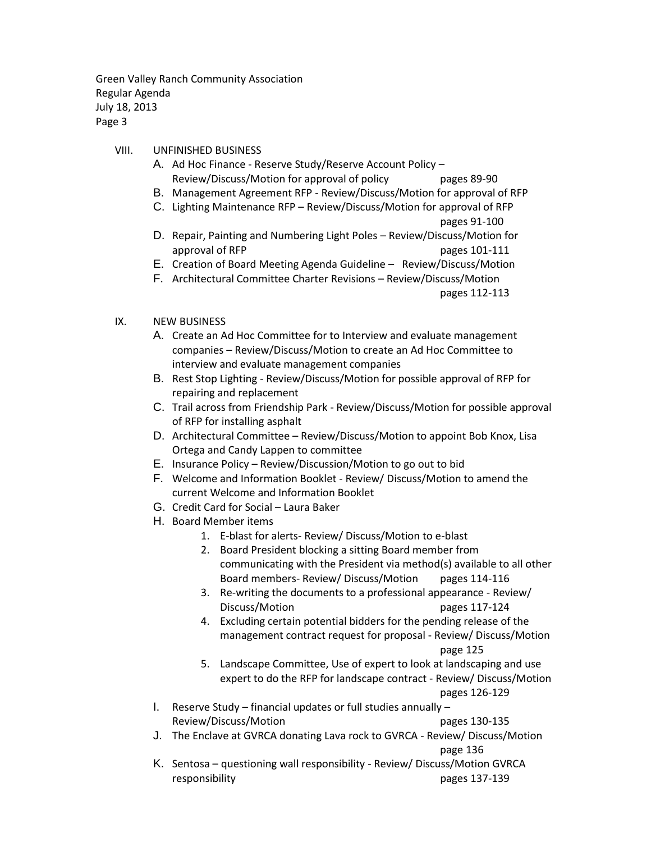Green Valley Ranch Community Association Regular Agenda July 18, 2013 Page 3

## VIII. UNFINISHED BUSINESS

- A. Ad Hoc Finance Reserve Study/Reserve Account Policy Review/Discuss/Motion for approval of policy pages 89-90
- B. Management Agreement RFP Review/Discuss/Motion for approval of RFP
- C. Lighting Maintenance RFP Review/Discuss/Motion for approval of RFP

pages 91-100

- D. Repair, Painting and Numbering Light Poles Review/Discuss/Motion for approval of RFP pages 101-111
- E. Creation of Board Meeting Agenda Guideline Review/Discuss/Motion
- F. Architectural Committee Charter Revisions Review/Discuss/Motion

pages 112-113

# IX. NEW BUSINESS

- A. Create an Ad Hoc Committee for to Interview and evaluate management companies – Review/Discuss/Motion to create an Ad Hoc Committee to interview and evaluate management companies
- B. Rest Stop Lighting Review/Discuss/Motion for possible approval of RFP for repairing and replacement
- C. Trail across from Friendship Park Review/Discuss/Motion for possible approval of RFP for installing asphalt
- D. Architectural Committee Review/Discuss/Motion to appoint Bob Knox, Lisa Ortega and Candy Lappen to committee
- E. Insurance Policy Review/Discussion/Motion to go out to bid
- F. Welcome and Information Booklet Review/ Discuss/Motion to amend the current Welcome and Information Booklet
- G. Credit Card for Social Laura Baker
- H. Board Member items
	- 1. E-blast for alerts- Review/ Discuss/Motion to e-blast
	- 2. Board President blocking a sitting Board member from communicating with the President via method(s) available to all other Board members- Review/ Discuss/Motion pages 114-116
	- 3. Re-writing the documents to a professional appearance Review/ Discuss/Motion pages 117-124
	- 4. Excluding certain potential bidders for the pending release of the management contract request for proposal - Review/ Discuss/Motion page 125
	- 5. Landscape Committee, Use of expert to look at landscaping and use expert to do the RFP for landscape contract - Review/ Discuss/Motion pages 126-129
- I. Reserve Study financial updates or full studies annually Review/Discuss/Motion example 20 pages 130-135
- J. The Enclave at GVRCA donating Lava rock to GVRCA Review/ Discuss/Motion page 136
- K. Sentosa questioning wall responsibility Review/ Discuss/Motion GVRCA responsibility pages 137-139